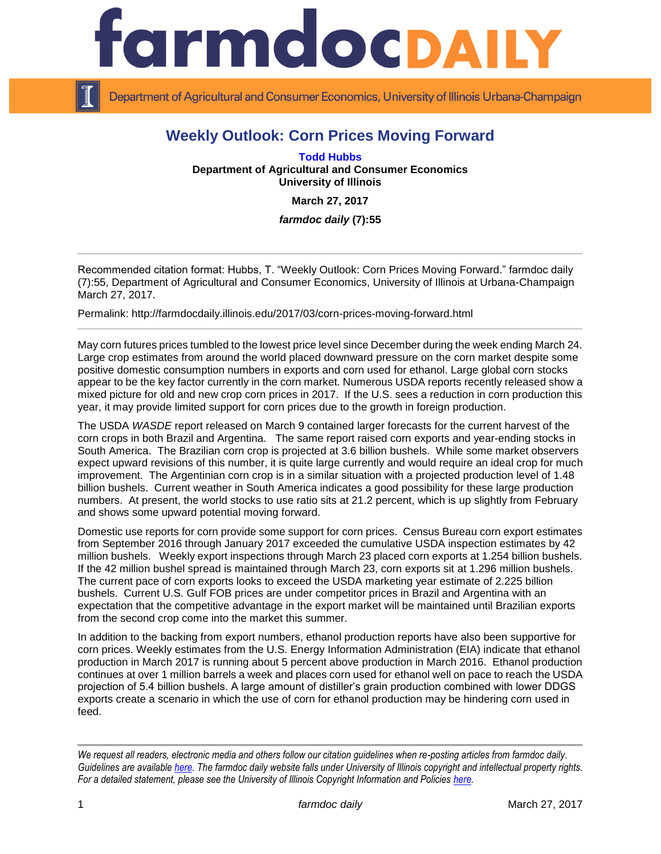

Department of Agricultural and Consumer Economics, University of Illinois Urbana-Champaign

## **Weekly Outlook: Corn Prices Moving Forward**

**[Todd Hubbs](http://ace.illinois.edu/directory/jhubbs3) Department of Agricultural and Consumer Economics University of Illinois**

**March 27, 2017**

*farmdoc daily* **(7):55**

Recommended citation format: Hubbs, T. ["Weekly Outlook: Corn Prices Moving Forward.](http://farmdocdaily.illinois.edu/2017/03/corn-prices-moving-forward.html)" farmdoc daily (7):55, Department of Agricultural and Consumer Economics, University of Illinois at Urbana-Champaign March 27, 2017.

Permalink:<http://farmdocdaily.illinois.edu/2017/03/corn-prices-moving-forward.html>

May corn futures prices tumbled to the lowest price level since December during the week ending March 24. Large crop estimates from around the world placed downward pressure on the corn market despite some positive domestic consumption numbers in exports and corn used for ethanol. Large global corn stocks appear to be the key factor currently in the corn market. Numerous USDA reports recently released show a mixed picture for old and new crop corn prices in 2017. If the U.S. sees a reduction in corn production this year, it may provide limited support for corn prices due to the growth in foreign production.

The USDA *WASDE* report released on March 9 contained larger forecasts for the current harvest of the corn crops in both Brazil and Argentina. The same report raised corn exports and year-ending stocks in South America. The Brazilian corn crop is projected at 3.6 billion bushels. While some market observers expect upward revisions of this number, it is quite large currently and would require an ideal crop for much improvement. The Argentinian corn crop is in a similar situation with a projected production level of 1.48 billion bushels. Current weather in South America indicates a good possibility for these large production numbers. At present, the world stocks to use ratio sits at 21.2 percent, which is up slightly from February and shows some upward potential moving forward.

Domestic use reports for corn provide some support for corn prices. Census Bureau corn export estimates from September 2016 through January 2017 exceeded the cumulative USDA inspection estimates by 42 million bushels. Weekly export inspections through March 23 placed corn exports at 1.254 billion bushels. If the 42 million bushel spread is maintained through March 23, corn exports sit at 1.296 million bushels. The current pace of corn exports looks to exceed the USDA marketing year estimate of 2.225 billion bushels. Current U.S. Gulf FOB prices are under competitor prices in Brazil and Argentina with an expectation that the competitive advantage in the export market will be maintained until Brazilian exports from the second crop come into the market this summer.

In addition to the backing from export numbers, ethanol production reports have also been supportive for corn prices. Weekly estimates from the U.S. Energy Information Administration (EIA) indicate that ethanol production in March 2017 is running about 5 percent above production in March 2016. Ethanol production continues at over 1 million barrels a week and places corn used for ethanol well on pace to reach the USDA projection of 5.4 billion bushels. A large amount of distiller's grain production combined with lower DDGS exports create a scenario in which the use of corn for ethanol production may be hindering corn used in feed.

*We request all readers, electronic media and others follow our citation guidelines when re-posting articles from farmdoc daily. Guidelines are available [here.](http://farmdocdaily.illinois.edu/citationguide.html) The farmdoc daily website falls under University of Illinois copyright and intellectual property rights. For a detailed statement, please see the University of Illinois Copyright Information and Policies [here.](http://www.cio.illinois.edu/policies/copyright/)*